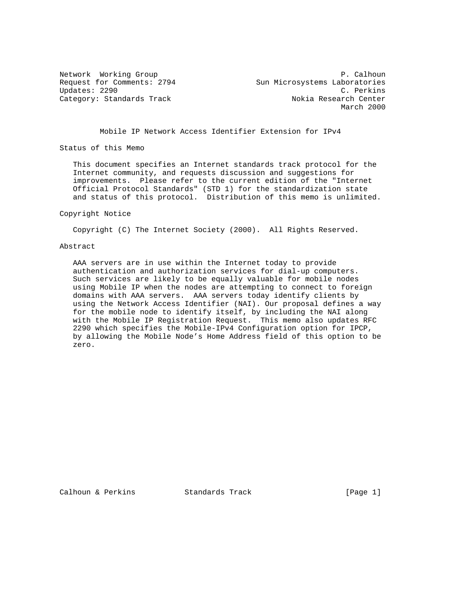Network Working Group **P. Calhoun** P. Calhoun Request for Comments: 2794 Sun Microsystems Laboratories Updates: 2290 C. Perkins Category: Standards Track Nokia Research Center March 2000

## Mobile IP Network Access Identifier Extension for IPv4

Status of this Memo

 This document specifies an Internet standards track protocol for the Internet community, and requests discussion and suggestions for improvements. Please refer to the current edition of the "Internet Official Protocol Standards" (STD 1) for the standardization state and status of this protocol. Distribution of this memo is unlimited.

#### Copyright Notice

Copyright (C) The Internet Society (2000). All Rights Reserved.

### Abstract

 AAA servers are in use within the Internet today to provide authentication and authorization services for dial-up computers. Such services are likely to be equally valuable for mobile nodes using Mobile IP when the nodes are attempting to connect to foreign domains with AAA servers. AAA servers today identify clients by using the Network Access Identifier (NAI). Our proposal defines a way for the mobile node to identify itself, by including the NAI along with the Mobile IP Registration Request. This memo also updates RFC 2290 which specifies the Mobile-IPv4 Configuration option for IPCP, by allowing the Mobile Node's Home Address field of this option to be zero.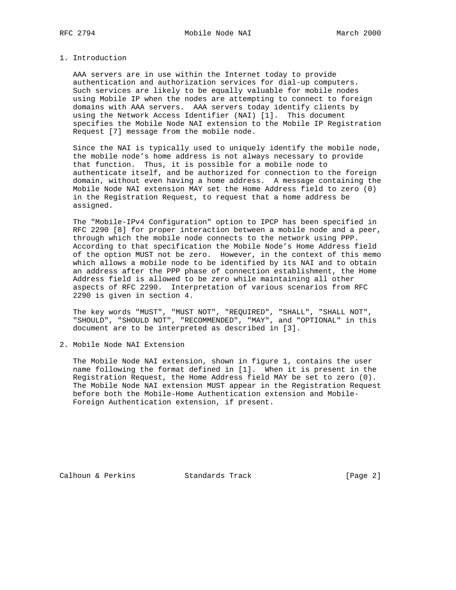### 1. Introduction

 AAA servers are in use within the Internet today to provide authentication and authorization services for dial-up computers. Such services are likely to be equally valuable for mobile nodes using Mobile IP when the nodes are attempting to connect to foreign domains with AAA servers. AAA servers today identify clients by using the Network Access Identifier (NAI) [1]. This document specifies the Mobile Node NAI extension to the Mobile IP Registration Request [7] message from the mobile node.

 Since the NAI is typically used to uniquely identify the mobile node, the mobile node's home address is not always necessary to provide that function. Thus, it is possible for a mobile node to authenticate itself, and be authorized for connection to the foreign domain, without even having a home address. A message containing the Mobile Node NAI extension MAY set the Home Address field to zero (0) in the Registration Request, to request that a home address be assigned.

 The "Mobile-IPv4 Configuration" option to IPCP has been specified in RFC 2290 [8] for proper interaction between a mobile node and a peer, through which the mobile node connects to the network using PPP. According to that specification the Mobile Node's Home Address field of the option MUST not be zero. However, in the context of this memo which allows a mobile node to be identified by its NAI and to obtain an address after the PPP phase of connection establishment, the Home Address field is allowed to be zero while maintaining all other aspects of RFC 2290. Interpretation of various scenarios from RFC 2290 is given in section 4.

 The key words "MUST", "MUST NOT", "REQUIRED", "SHALL", "SHALL NOT", "SHOULD", "SHOULD NOT", "RECOMMENDED", "MAY", and "OPTIONAL" in this document are to be interpreted as described in [3].

2. Mobile Node NAI Extension

 The Mobile Node NAI extension, shown in figure 1, contains the user name following the format defined in [1]. When it is present in the Registration Request, the Home Address field MAY be set to zero (0). The Mobile Node NAI extension MUST appear in the Registration Request before both the Mobile-Home Authentication extension and Mobile- Foreign Authentication extension, if present.

Calhoun & Perkins Standards Track [Page 2]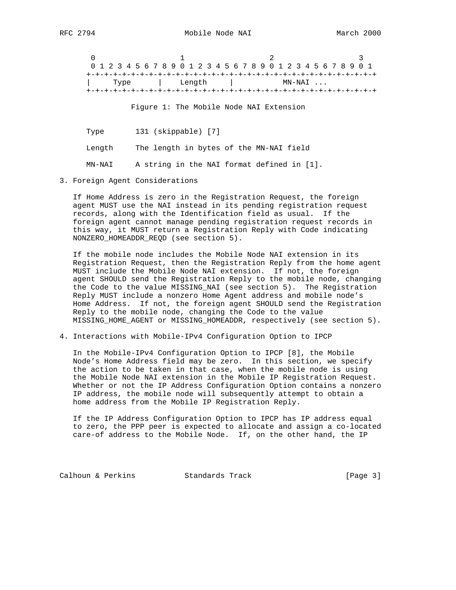| 0 1 2 3 4 5 6 7 8 9 0 1 2 3 4 5 6 7 8 9 0 1 2 3 4 5 6 7 8 9 0 1 |      |  |  |  |  |        |  |  |  |  |        |  |  |  |  |  |
|-----------------------------------------------------------------|------|--|--|--|--|--------|--|--|--|--|--------|--|--|--|--|--|
|                                                                 |      |  |  |  |  |        |  |  |  |  |        |  |  |  |  |  |
|                                                                 | Type |  |  |  |  | Length |  |  |  |  | MN-NAI |  |  |  |  |  |
|                                                                 |      |  |  |  |  |        |  |  |  |  |        |  |  |  |  |  |

Figure 1: The Mobile Node NAI Extension

 Type 131 (skippable) [7] Length The length in bytes of the MN-NAI field MN-NAI A string in the NAI format defined in [1].

3. Foreign Agent Considerations

 If Home Address is zero in the Registration Request, the foreign agent MUST use the NAI instead in its pending registration request records, along with the Identification field as usual. If the foreign agent cannot manage pending registration request records in this way, it MUST return a Registration Reply with Code indicating NONZERO\_HOMEADDR\_REQD (see section 5).

 If the mobile node includes the Mobile Node NAI extension in its Registration Request, then the Registration Reply from the home agent MUST include the Mobile Node NAI extension. If not, the foreign agent SHOULD send the Registration Reply to the mobile node, changing the Code to the value MISSING\_NAI (see section 5). The Registration Reply MUST include a nonzero Home Agent address and mobile node's Home Address. If not, the foreign agent SHOULD send the Registration Reply to the mobile node, changing the Code to the value MISSING\_HOME\_AGENT or MISSING\_HOMEADDR, respectively (see section 5).

4. Interactions with Mobile-IPv4 Configuration Option to IPCP

 In the Mobile-IPv4 Configuration Option to IPCP [8], the Mobile Node's Home Address field may be zero. In this section, we specify the action to be taken in that case, when the mobile node is using the Mobile Node NAI extension in the Mobile IP Registration Request. Whether or not the IP Address Configuration Option contains a nonzero IP address, the mobile node will subsequently attempt to obtain a home address from the Mobile IP Registration Reply.

 If the IP Address Configuration Option to IPCP has IP address equal to zero, the PPP peer is expected to allocate and assign a co-located care-of address to the Mobile Node. If, on the other hand, the IP

Calhoun & Perkins Standards Track [Page 3]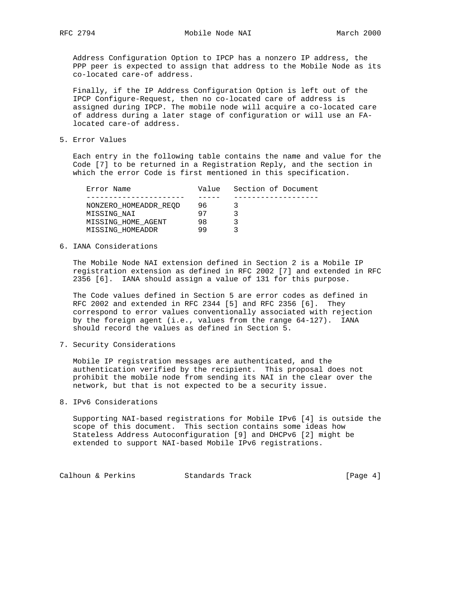Address Configuration Option to IPCP has a nonzero IP address, the PPP peer is expected to assign that address to the Mobile Node as its co-located care-of address.

 Finally, if the IP Address Configuration Option is left out of the IPCP Configure-Request, then no co-located care of address is assigned during IPCP. The mobile node will acquire a co-located care of address during a later stage of configuration or will use an FA located care-of address.

5. Error Values

 Each entry in the following table contains the name and value for the Code [7] to be returned in a Registration Reply, and the section in which the error Code is first mentioned in this specification.

| Error Name            | Value | Section of Document |
|-----------------------|-------|---------------------|
|                       |       |                     |
| NONZERO HOMEADDR REOD | 96    |                     |
| MISSING NAI           | 97    |                     |
| MISSING HOME AGENT    | 98    |                     |
| MISSING HOMEADDR      | 99    |                     |

6. IANA Considerations

 The Mobile Node NAI extension defined in Section 2 is a Mobile IP registration extension as defined in RFC 2002 [7] and extended in RFC 2356 [6]. IANA should assign a value of 131 for this purpose.

 The Code values defined in Section 5 are error codes as defined in RFC 2002 and extended in RFC 2344 [5] and RFC 2356 [6]. They correspond to error values conventionally associated with rejection by the foreign agent (i.e., values from the range 64-127). IANA should record the values as defined in Section 5.

7. Security Considerations

 Mobile IP registration messages are authenticated, and the authentication verified by the recipient. This proposal does not prohibit the mobile node from sending its NAI in the clear over the network, but that is not expected to be a security issue.

8. IPv6 Considerations

 Supporting NAI-based registrations for Mobile IPv6 [4] is outside the scope of this document. This section contains some ideas how Stateless Address Autoconfiguration [9] and DHCPv6 [2] might be extended to support NAI-based Mobile IPv6 registrations.

Calhoun & Perkins Standards Track [Page 4]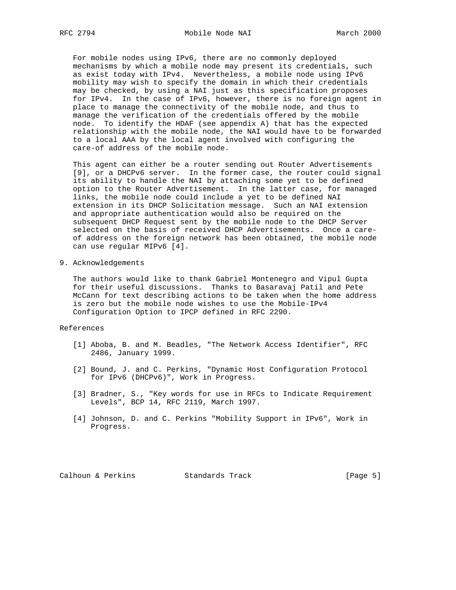For mobile nodes using IPv6, there are no commonly deployed mechanisms by which a mobile node may present its credentials, such as exist today with IPv4. Nevertheless, a mobile node using IPv6 mobility may wish to specify the domain in which their credentials may be checked, by using a NAI just as this specification proposes for IPv4. In the case of IPv6, however, there is no foreign agent in place to manage the connectivity of the mobile node, and thus to manage the verification of the credentials offered by the mobile node. To identify the HDAF (see appendix A) that has the expected relationship with the mobile node, the NAI would have to be forwarded to a local AAA by the local agent involved with configuring the care-of address of the mobile node.

 This agent can either be a router sending out Router Advertisements [9], or a DHCPv6 server. In the former case, the router could signal its ability to handle the NAI by attaching some yet to be defined option to the Router Advertisement. In the latter case, for managed links, the mobile node could include a yet to be defined NAI extension in its DHCP Solicitation message. Such an NAI extension and appropriate authentication would also be required on the subsequent DHCP Request sent by the mobile node to the DHCP Server selected on the basis of received DHCP Advertisements. Once a care of address on the foreign network has been obtained, the mobile node can use regular MIPv6 [4].

9. Acknowledgements

 The authors would like to thank Gabriel Montenegro and Vipul Gupta for their useful discussions. Thanks to Basaravaj Patil and Pete McCann for text describing actions to be taken when the home address is zero but the mobile node wishes to use the Mobile-IPv4 Configuration Option to IPCP defined in RFC 2290.

## References

- [1] Aboba, B. and M. Beadles, "The Network Access Identifier", RFC 2486, January 1999.
- [2] Bound, J. and C. Perkins, "Dynamic Host Configuration Protocol for IPv6 (DHCPv6)", Work in Progress.
- [3] Bradner, S., "Key words for use in RFCs to Indicate Requirement Levels", BCP 14, RFC 2119, March 1997.
- [4] Johnson, D. and C. Perkins "Mobility Support in IPv6", Work in Progress.

Calhoun & Perkins Standards Track [Page 5]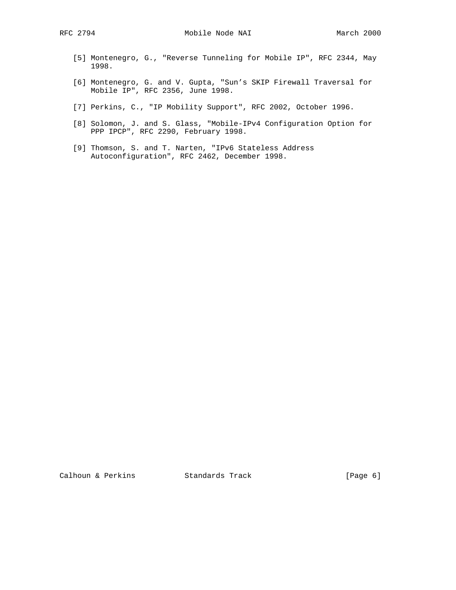- [5] Montenegro, G., "Reverse Tunneling for Mobile IP", RFC 2344, May 1998.
- [6] Montenegro, G. and V. Gupta, "Sun's SKIP Firewall Traversal for Mobile IP", RFC 2356, June 1998.
- [7] Perkins, C., "IP Mobility Support", RFC 2002, October 1996.
- [8] Solomon, J. and S. Glass, "Mobile-IPv4 Configuration Option for PPP IPCP", RFC 2290, February 1998.
- [9] Thomson, S. and T. Narten, "IPv6 Stateless Address Autoconfiguration", RFC 2462, December 1998.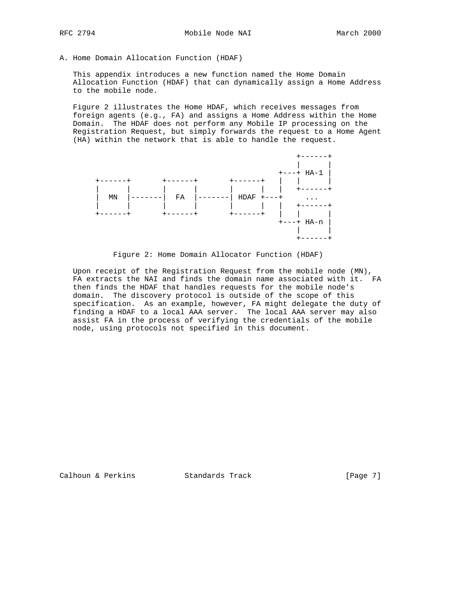A. Home Domain Allocation Function (HDAF)

 This appendix introduces a new function named the Home Domain Allocation Function (HDAF) that can dynamically assign a Home Address to the mobile node.

 Figure 2 illustrates the Home HDAF, which receives messages from foreign agents (e.g., FA) and assigns a Home Address within the Home Domain. The HDAF does not perform any Mobile IP processing on the Registration Request, but simply forwards the request to a Home Agent (HA) within the network that is able to handle the request.



Figure 2: Home Domain Allocator Function (HDAF)

 Upon receipt of the Registration Request from the mobile node (MN), FA extracts the NAI and finds the domain name associated with it. FA then finds the HDAF that handles requests for the mobile node's domain. The discovery protocol is outside of the scope of this specification. As an example, however, FA might delegate the duty of finding a HDAF to a local AAA server. The local AAA server may also assist FA in the process of verifying the credentials of the mobile node, using protocols not specified in this document.

Calhoun & Perkins Standards Track [Page 7]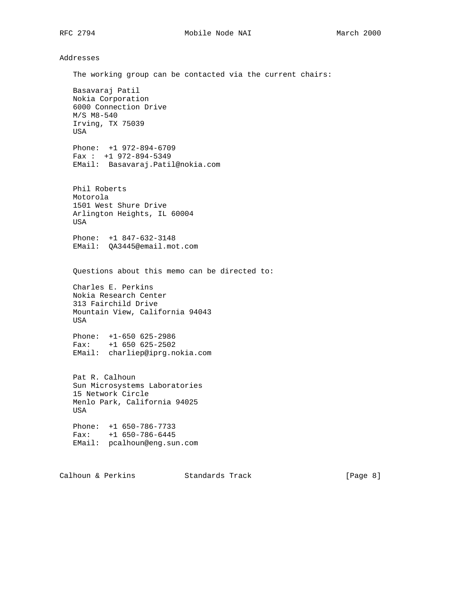# Addresses

 The working group can be contacted via the current chairs: Basavaraj Patil Nokia Corporation 6000 Connection Drive M/S M8-540 Irving, TX 75039 USA Phone: +1 972-894-6709 Fax : +1 972-894-5349 EMail: Basavaraj.Patil@nokia.com Phil Roberts Motorola 1501 West Shure Drive Arlington Heights, IL 60004 USA Phone: +1 847-632-3148 EMail: QA3445@email.mot.com Questions about this memo can be directed to: Charles E. Perkins Nokia Research Center 313 Fairchild Drive Mountain View, California 94043 USA Phone: +1-650 625-2986 Fax: +1 650 625-2502 EMail: charliep@iprg.nokia.com Pat R. Calhoun Sun Microsystems Laboratories 15 Network Circle Menlo Park, California 94025 USA Phone: +1 650-786-7733 Fax: +1 650-786-6445 EMail: pcalhoun@eng.sun.com

Calhoun & Perkins Standards Track [Page 8]